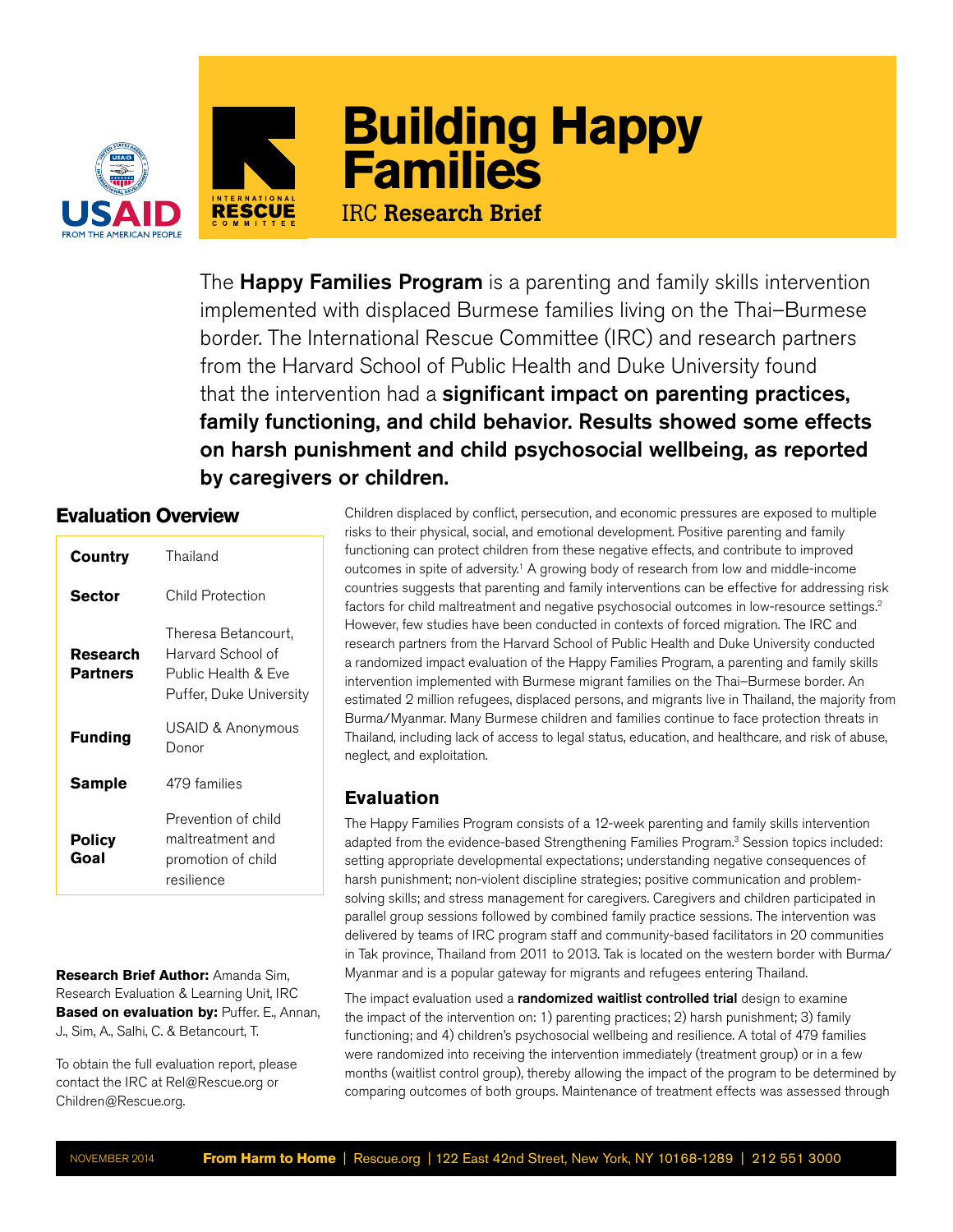



The **Happy Families Program** is a parenting and family skills intervention implemented with displaced Burmese families living on the Thai–Burmese border. The International Rescue Committee (IRC) and research partners from the Harvard School of Public Health and Duke University found that the intervention had a **significant impact on parenting practices**, family functioning, and child behavior. Results showed some effects on harsh punishment and child psychosocial wellbeing, as reported by caregivers or children.

# **Evaluation Overview**

| Country               | Thailand                                                                                   |
|-----------------------|--------------------------------------------------------------------------------------------|
| Sector                | Child Protection                                                                           |
| Research<br>Partners  | Theresa Betancourt,<br>Harvard School of<br>Public Health & Fve<br>Puffer, Duke University |
| <b>Funding</b>        | USAID & Anonymous<br>Donor                                                                 |
| <b>Sample</b>         | 479 families                                                                               |
| <b>Policy</b><br>Goal | Prevention of child<br>maltreatment and<br>promotion of child<br>resilience                |

**Research Brief Author:** Amanda Sim, Research Evaluation & Learning Unit, IRC **Based on evaluation by: Puffer. E., Annan,** J., Sim, A., Salhi, C. & Betancourt, T.

To obtain the full evaluation report, please contact the IRC at Rel@Rescue.org or Children@Rescue.org.

Note that the method of the method is the physics, social, and envotion, and except the method of the method is a method in the method is a method in the method in the method is a method in the method in the method is a m risks to their physical, social, and emotional development. Positive parenting and family functioning can protect children from these negative effects, and contribute to improved outcomes in spite of adversity.1 A growing body of research from low and middle-income countries suggests that parenting and family interventions can be effective for addressing risk factors for child maltreatment and negative psychosocial outcomes in low-resource settings.2 However, few studies have been conducted in contexts of forced migration. The IRC and research partners from the Harvard School of Public Health and Duke University conducted a randomized impact evaluation of the Happy Families Program, a parenting and family skills intervention implemented with Burmese migrant families on the Thai–Burmese border. An estimated 2 million refugees, displaced persons, and migrants live in Thailand, the majority from Burma/Myanmar. Many Burmese children and families continue to face protection threats in Thailand, including lack of access to legal status, education, and healthcare, and risk of abuse, neglect, and exploitation.

## **Evaluation**

The Happy Families Program consists of a 12-week parenting and family skills intervention adapted from the evidence-based Strengthening Families Program.3 Session topics included: setting appropriate developmental expectations; understanding negative consequences of harsh punishment; non-violent discipline strategies; positive communication and problemsolving skills; and stress management for caregivers. Caregivers and children participated in parallel group sessions followed by combined family practice sessions. The intervention was delivered by teams of IRC program staff and community-based facilitators in 20 communities in Tak province, Thailand from 2011 to 2013. Tak is located on the western border with Burma/ Myanmar and is a popular gateway for migrants and refugees entering Thailand.

The impact evaluation used a randomized waitlist controlled trial design to examine the impact of the intervention on: 1) parenting practices; 2) harsh punishment; 3) family functioning; and 4) children's psychosocial wellbeing and resilience. A total of 479 families were randomized into receiving the intervention immediately (treatment group) or in a few months (waitlist control group), thereby allowing the impact of the program to be determined by comparing outcomes of both groups. Maintenance of treatment effects was assessed through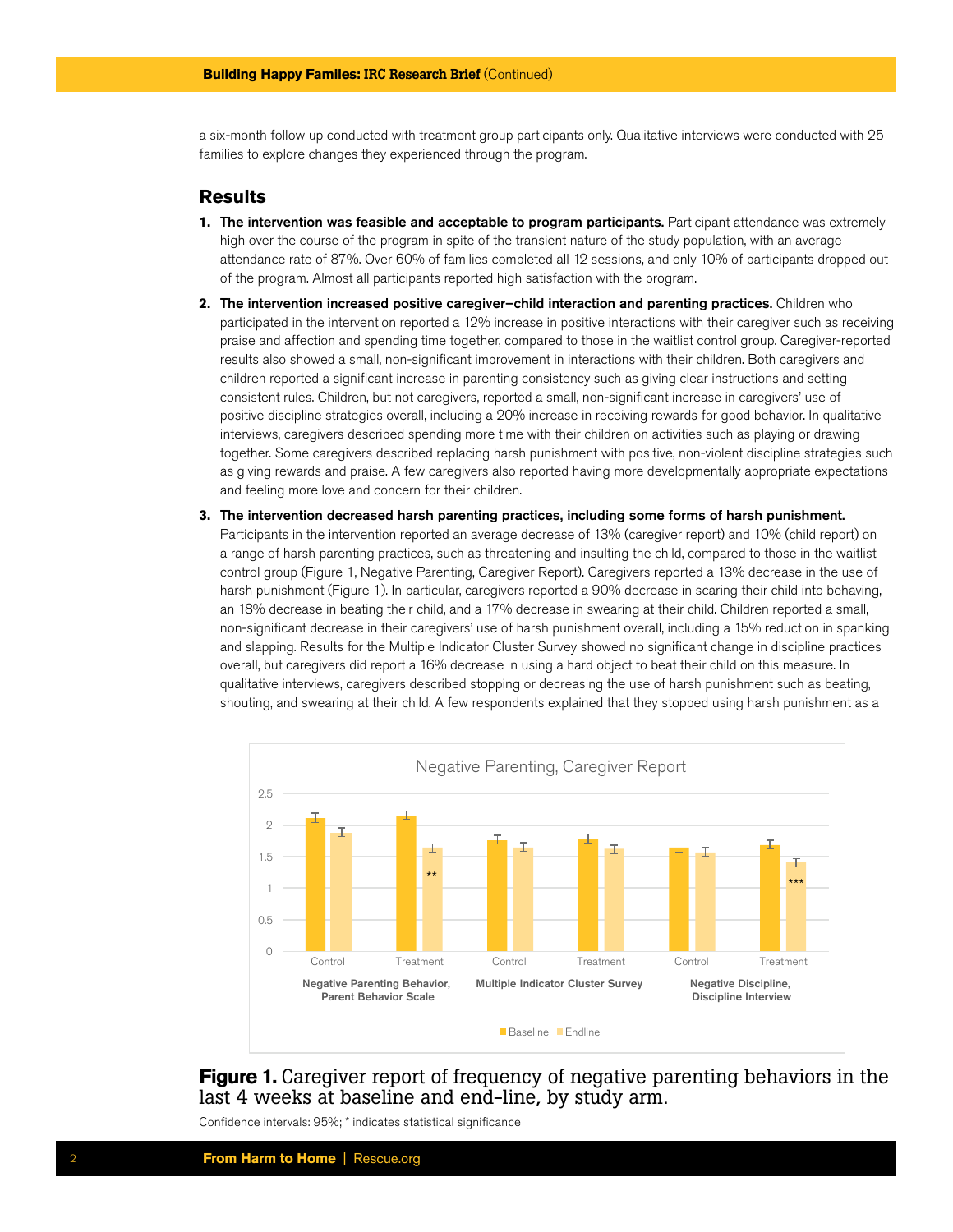a six-month follow up conducted with treatment group participants only. Qualitative interviews were conducted with 25 families to explore changes they experienced through the program.

### **Results**

- **1.** The intervention was feasible and acceptable to program participants. Participant attendance was extremely high over the course of the program in spite of the transient nature of the study population, with an average attendance rate of 87%. Over 60% of families completed all 12 sessions, and only 10% of participants dropped out of the program. Almost all participants reported high satisfaction with the program.
- **2.** The intervention increased positive caregiver–child interaction and parenting practices. Children who participated in the intervention reported a 12% increase in positive interactions with their caregiver such as receiving praise and affection and spending time together, compared to those in the waitlist control group. Caregiver-reported results also showed a small, non-significant improvement in interactions with their children. Both caregivers and children reported a significant increase in parenting consistency such as giving clear instructions and setting consistent rules. Children, but not caregivers, reported a small, non-significant increase in caregivers' use of positive discipline strategies overall, including a 20% increase in receiving rewards for good behavior. In qualitative interviews, caregivers described spending more time with their children on activities such as playing or drawing together. Some caregivers described replacing harsh punishment with positive, non-violent discipline strategies such as giving rewards and praise. A few caregivers also reported having more developmentally appropriate expectations and feeling more love and concern for their children.
- **3.** The intervention decreased harsh parenting practices, including some forms of harsh punishment. Participants in the intervention reported an average decrease of 13% (caregiver report) and 10% (child report) on a range of harsh parenting practices, such as threatening and insulting the child, compared to those in the waitlist control group (Figure 1, Negative Parenting, Caregiver Report). Caregivers reported a 13% decrease in the use of harsh punishment (Figure 1). In particular, caregivers reported a 90% decrease in scaring their child into behaving, an 18% decrease in beating their child, and a 17% decrease in swearing at their child. Children reported a small, non-significant decrease in their caregivers' use of harsh punishment overall, including a 15% reduction in spanking and slapping. Results for the Multiple Indicator Cluster Survey showed no significant change in discipline practices overall, but caregivers did report a 16% decrease in using a hard object to beat their child on this measure. In qualitative interviews, caregivers described stopping or decreasing the use of harsh punishment such as beating, shouting, and swearing at their child. A few respondents explained that they stopped using harsh punishment as a



**Figure 1.** Caregiver report of frequency of negative parenting behaviors in the last 4 weeks at baseline and end-line, by study arm.

Confidence intervals: 95%; \* indicates statistical significance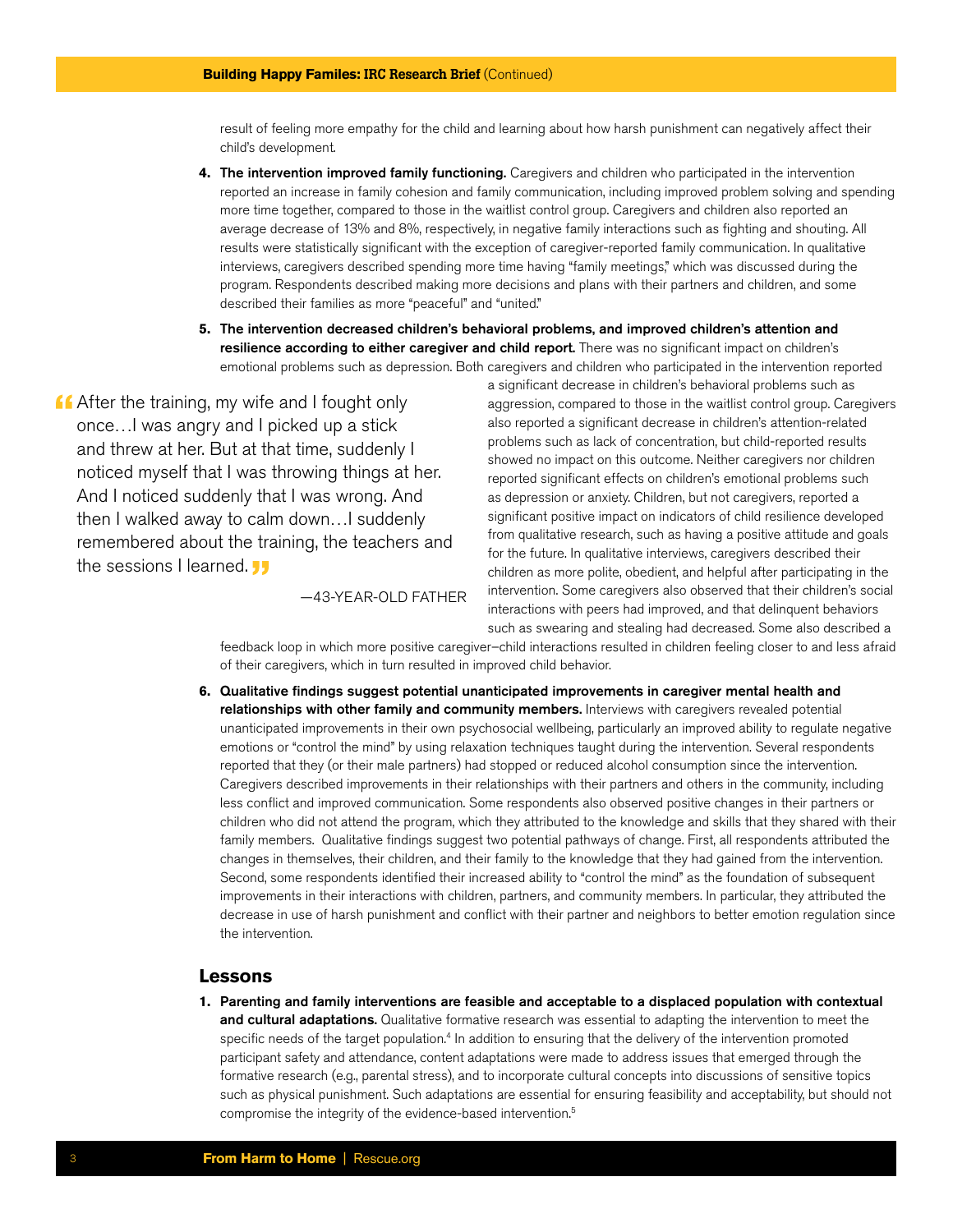result of feeling more empathy for the child and learning about how harsh punishment can negatively affect their child's development.

- **4.** The intervention improved family functioning. Caregivers and children who participated in the intervention reported an increase in family cohesion and family communication, including improved problem solving and spending more time together, compared to those in the waitlist control group. Caregivers and children also reported an average decrease of 13% and 8%, respectively, in negative family interactions such as fighting and shouting. All results were statistically significant with the exception of caregiver-reported family communication. In qualitative interviews, caregivers described spending more time having "family meetings," which was discussed during the program. Respondents described making more decisions and plans with their partners and children, and some described their families as more "peaceful" and "united."
- **5.** The intervention decreased children's behavioral problems, and improved children's attention and resilience according to either caregiver and child report. There was no significant impact on children's emotional problems such as depression. Both caregivers and children who participated in the intervention reported

**After the training, my wife and I fought only** once…I was angry and I picked up a stick and threw at her. But at that time, suddenly I noticed myself that I was throwing things at her. And I noticed suddenly that I was wrong. And then I walked away to calm down…I suddenly remembered about the training, the teachers and the sessions I learned. **JJ** 

—43-YEAR-OLD FATHER

a significant decrease in children's behavioral problems such as aggression, compared to those in the waitlist control group. Caregivers also reported a significant decrease in children's attention-related problems such as lack of concentration, but child-reported results showed no impact on this outcome. Neither caregivers nor children reported significant effects on children's emotional problems such as depression or anxiety. Children, but not caregivers, reported a significant positive impact on indicators of child resilience developed from qualitative research, such as having a positive attitude and goals for the future. In qualitative interviews, caregivers described their children as more polite, obedient, and helpful after participating in the intervention. Some caregivers also observed that their children's social interactions with peers had improved, and that delinquent behaviors such as swearing and stealing had decreased. Some also described a

feedback loop in which more positive caregiver–child interactions resulted in children feeling closer to and less afraid of their caregivers, which in turn resulted in improved child behavior.

**6.** Qualitative findings suggest potential unanticipated improvements in caregiver mental health and relationships with other family and community members. Interviews with caregivers revealed potential unanticipated improvements in their own psychosocial wellbeing, particularly an improved ability to regulate negative emotions or "control the mind" by using relaxation techniques taught during the intervention. Several respondents reported that they (or their male partners) had stopped or reduced alcohol consumption since the intervention. Caregivers described improvements in their relationships with their partners and others in the community, including less conflict and improved communication. Some respondents also observed positive changes in their partners or children who did not attend the program, which they attributed to the knowledge and skills that they shared with their family members. Qualitative findings suggest two potential pathways of change. First, all respondents attributed the changes in themselves, their children, and their family to the knowledge that they had gained from the intervention. Second, some respondents identified their increased ability to "control the mind" as the foundation of subsequent improvements in their interactions with children, partners, and community members. In particular, they attributed the decrease in use of harsh punishment and conflict with their partner and neighbors to better emotion regulation since the intervention.

### **Lessons**

**1.** Parenting and family interventions are feasible and acceptable to a displaced population with contextual and cultural adaptations. Qualitative formative research was essential to adapting the intervention to meet the specific needs of the target population.<sup>4</sup> In addition to ensuring that the delivery of the intervention promoted participant safety and attendance, content adaptations were made to address issues that emerged through the formative research (e.g., parental stress), and to incorporate cultural concepts into discussions of sensitive topics such as physical punishment. Such adaptations are essential for ensuring feasibility and acceptability, but should not compromise the integrity of the evidence-based intervention.5